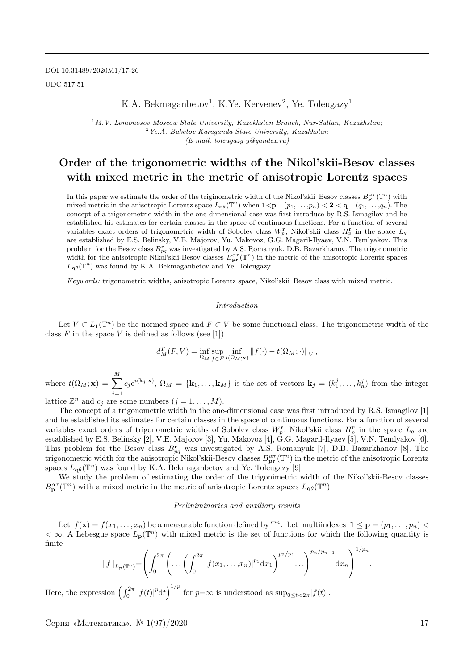DOI 10.31489/2020M1/17-26 UDC 517.51

### K.A. Bekmaganbetov<sup>1</sup>, K.Ye. Kervenev<sup>2</sup>, Ye. Toleugazy<sup>1</sup>

 $1^1$ M.V. Lomonosov Moscow State University, Kazakhstan Branch, Nur-Sultan, Kazakhstan;  $2Ye.A. Buketov Karaganda State University, Kazakhstan$ (E-mail: toleugazy-y@yandex.ru)

## Order of the trigonometric widths of the Nikol'skii-Besov classes with mixed metric in the metric of anisotropic Lorentz spaces

In this paper we estimate the order of the triginometric width of the Nikol'skii–Besov classes  $B_{\mathbf{p}}^{\alpha\tau}(\mathbb{T}^n)$  with mixed metric in the anisotropic Lorentz space  $L_{\mathbf{q}\theta}(\mathbb{T}^n)$  when  $1 < \mathbf{p} = (p_1, \ldots, p_n) < 2 < \mathbf{q} = (q_1, \ldots, q_n)$ . The concept of a trigonometric width in the one-dimensional case was first introduce by R.S. Ismagilov and he established his estimates for certain classes in the space of continuous functions. For a function of several variables exact orders of trigonometric width of Sobolev class  $W_p^r$ , Nikol'skii class  $H_p^r$  in the space  $L_q$ are established by E.S. Belinsky, V.E. Majorov, Yu. Makovoz, G.G. Magaril-Ilyaev, V.N. Temlyakov. This problem for the Besov class  $B_{pq}^{\mathbf{r}}$  was investigated by A.S. Romanyuk, D.B. Bazarkhanov. The trigonometric width for the anisotropic Nikol'skii-Besov classes  $B_{\text{pr}}^{\alpha \tau}(\mathbb{T}^n)$  in the metric of the anisotropic Lorentz spaces  $L_{\mathbf{q}\theta}(\mathbb{T}^n)$  was found by K.A. Bekmaganbetov and Ye. Toleugazy.

Keywords: trigonometric widths, anisotropic Lorentz space, Nikol'skii–Besov class with mixed metric.

#### Introduction

Let  $V \subset L_1(\mathbb{T}^n)$  be the normed space and  $F \subset V$  be some functional class. The trigonometric width of the class  $F$  in the space  $V$  is defined as follows (see [1])

$$
d_M^T(F, V) = \inf_{\Omega_M} \sup_{f \in F} \inf_{t(\Omega_M; \mathbf{x})} ||f(\cdot) - t(\Omega_M; \cdot)||_V,
$$

where  $t(\Omega_M; \mathbf{x}) = \sum^M$  $j=1$  $c_j e^{i(k_j, \mathbf{x})}$ ,  $\Omega_M = \{\mathbf{k}_1, \ldots, \mathbf{k}_M\}$  is the set of vectors  $\mathbf{k}_j = (k_1^j, \ldots, k_n^j)$  from the integer

lattice  $\mathbb{Z}^n$  and  $c_j$  are some numbers  $(j = 1, ..., M)$ .

The concept of a trigonometric width in the one-dimensional case was first introduced by R.S. Ismagilov [1] and he established its estimates for certain classes in the space of continuous functions. For a function of several variables exact orders of trigonometric widths of Sobolev class  $W_p^r$ , Nikol'skii class  $H_p^r$  in the space  $L_q$  are established by E.S. Belinsky [2], V.E. Majorov [3], Yu. Makovoz [4], G.G. Magaril-Ilyaev [5], V.N. Temlyakov [6]. This problem for the Besov class  $B_{pq}^r$  was investigated by A.S. Romanyuk [7], D.B. Bazarkhanov [8]. The trigonometric width for the anisotropic Nikol'skii-Besov classes  $B_{\mathbf{pr}}^{\alpha\tau}(\mathbb{T}^n)$  in the metric of the anisotropic Lorentz spaces  $L_{\mathbf{q}\theta}(\mathbb{T}^n)$  was found by K.A. Bekmaganbetov and Ye. Toleugazy [9].

We study the problem of estimating the order of the trigonimetric width of the Nikol'skii-Besov classes  $B_{\mathbf{p}}^{\alpha\tau}(\mathbb{T}^n)$  with a mixed metric in the metric of anisotropic Lorentz spaces  $L_{\mathbf{q}\theta}(\mathbb{T}^n)$ .

#### Preliniminaries and auxiliary results

Let  $f(\mathbf{x}) = f(x_1, \ldots, x_n)$  be a measurable function defined by  $\mathbb{T}^n$ . Let multiindexes  $\mathbf{1} \leq \mathbf{p} = (p_1, \ldots, p_n)$  $<\infty$ . A Lebesgue space  $L_p(\mathbb{T}^n)$  with mixed metric is the set of functions for which the following quantity is finite  $1/x$ 

$$
||f||_{L_{\mathbf{p}}(\mathbb{T}^n)} = \left(\int_0^{2\pi} \left(\dots \left(\int_0^{2\pi} |f(x_1,\dots,x_n)|^{p_1} dx_1\right)^{p_2/p_1} \dots\right)^{p_n/p_{n-1}} dx_n\right)^{1/p_n}.
$$

Here, the expression  $\left(\int_0^{2\pi} |f(t)|^p dt\right)^{1/p}$  for  $p=\infty$  is understood as  $\sup_{0\leq t<2\pi} |f(t)|$ .

Серия «Математика». № 1(97)/2020 17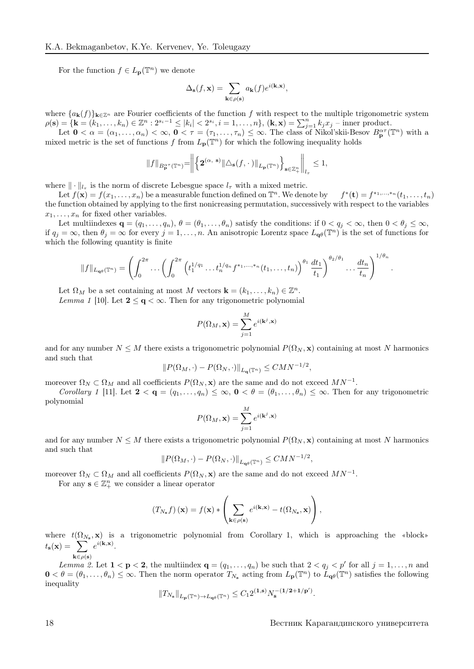For the function  $f \in L_{\mathbf{p}}(\mathbb{T}^n)$  we denote

$$
\Delta_{\mathbf{s}}(f, \mathbf{x}) = \sum_{\mathbf{k} \in \rho(\mathbf{s})} a_{\mathbf{k}}(f) e^{i(\mathbf{k}, \mathbf{x})},
$$

where  ${a_{\mathbf{k}}(f)}_{\mathbf{k}\in\mathbb{Z}^n}$  are Fourier coefficients of the function f with respect to the multiple trigonometric system  $\rho(\mathbf{s}) = \{\mathbf{k} = (k_1, \ldots, k_n) \in \mathbb{Z}^n : 2^{s_i-1} \leq |k_i| < 2^{s_i}, i = 1, \ldots, n\}, \ (\mathbf{k}, \mathbf{x}) = \sum_{j=1}^n k_j x_j$  – inner product.

Let  $0 < \alpha = (\alpha_1, \ldots, \alpha_n) < \infty$ ,  $0 < \tau = (\tau_1, \ldots, \tau_n) \leq \infty$ . The class of Nikol'skii-Besov  $B_{\mathbf{p}}^{\alpha \tau}(\mathbb{T}^n)$  with a mixed metric is the set of functions f from  $L_p(\mathbb{T}^n)$  for which the following inequality holds

$$
||f||_{B_{\mathbf{p}}^{\alpha^{\tau}}(\mathbb{T}^n)} = \bigg\| \Big\{ \mathbf{2}^{(\alpha, s)} \|\triangle_{\mathbf{s}}(f, \cdot\,)\|_{L_{\mathbf{p}}(\mathbb{T}^n)} \Big\}_{\mathbf{s}\in \mathbb{Z}^n_+} \bigg\|_{l_{\tau}} \leq 1,
$$

where  $\|\cdot\|_{l_{\tau}}$  is the norm of discrete Lebesgue space  $l_{\tau}$  with a mixed metric.

Let  $f(\mathbf{x}) = f(x_1, \ldots, x_n)$  be a measurable function defined on  $\mathbb{T}^n$ . We denote by  $f^*(\mathbf{t}) = f^{*_1, \ldots, *_n}(t_1, \ldots, t_n)$ the function obtained by applying to the first nonicreasing permutation, successively with respect to the variables  $x_1, \ldots, x_n$  for fixed other variables.

Let multiindexes  $\mathbf{q} = (q_1, \ldots, q_n)$ ,  $\theta = (\theta_1, \ldots, \theta_n)$  satisfy the conditions: if  $0 < q_j < \infty$ , then  $0 < \theta_j \leq \infty$ , if  $q_j = \infty$ , then  $\theta_j = \infty$  for every  $j = 1, \ldots, n$ . An anisotropic Lorentz space  $L_{\mathbf{q}\theta}(\mathbb{T}^n)$  is the set of functions for which the following quantity is finite

$$
||f||_{L_{\mathbf{q},\theta}(\mathbb{T}^n)} = \left(\int_0^{2\pi} \ldots \left(\int_0^{2\pi} \left(t_1^{1/q_1} \ldots t_n^{1/q_n} f^{*1,\ldots,*n}(t_1,\ldots,t_n)\right)^{\theta_1} \frac{dt_1}{t_1}\right)^{\theta_2/\theta_1} \ldots \frac{dt_n}{t_n}\right)^{1/\theta_n}.
$$

Let  $\Omega_M$  be a set containing at most M vectors  $\mathbf{k} = (k_1, \ldots, k_n) \in \mathbb{Z}^n$ .

Lemma 1 [10]. Let  $2 < q < \infty$ . Then for any trigonometric polynomial

$$
P(\Omega_M, \mathbf{x}) = \sum_{j=1}^M e^{i(\mathbf{k}^j, \mathbf{x})}
$$

and for any number  $N \leq M$  there exists a trigonometric polynomial  $P(\Omega_N, \mathbf{x})$  containing at most N harmonics and such that

$$
||P(\Omega_M, \cdot) - P(\Omega_N, \cdot)||_{L_\mathbf{q}(\mathbb{T}^n)} \leq CMN^{-1/2},
$$

moreover  $\Omega_N \subset \Omega_M$  and all coefficients  $P(\Omega_N, \mathbf{x})$  are the same and do not exceed  $MN^{-1}$ .

Corollary 1 [11]. Let  $2 < q = (q_1, \ldots, q_n) \leq \infty$ ,  $0 < \theta = (\theta_1, \ldots, \theta_n) \leq \infty$ . Then for any trigonometric polynomial

$$
P(\Omega_M, \mathbf{x}) = \sum_{j=1}^M e^{i(\mathbf{k}^j, \mathbf{x})}
$$

and for any number  $N \leq M$  there exists a trigonometric polynomial  $P(\Omega_N, \mathbf{x})$  containing at most N harmonics and such that

$$
||P(\Omega_M, \cdot) - P(\Omega_N, \cdot)||_{L_{\mathbf{Q}^{\theta}}(\mathbb{T}^n)} \leq CMN^{-1/2},
$$

moreover  $\Omega_N \subset \Omega_M$  and all coefficients  $P(\Omega_N, \mathbf{x})$  are the same and do not exceed  $MN^{-1}$ .

For any  $\mathbf{s} \in \mathbb{Z}_+^n$  we consider a linear operator

$$
(T_{N_{\mathbf{s}}}f) (\mathbf{x}) = f(\mathbf{x}) * \left( \sum_{\mathbf{k} \in \rho(\mathbf{s})} e^{i(\mathbf{k}, \mathbf{x})} - t(\Omega_{N_{\mathbf{s}}}, \mathbf{x}) \right),
$$

where  $t(\Omega_{N_s}, \mathbf{x})$  is a trigonometric polynomial from Corollary 1, which is approaching the «block»  $t_{s}(\mathbf{x}) = \sum e^{i(\mathbf{k}, \mathbf{x})}.$ 

 $\mathbf{k} \in \rho(\mathbf{s})$ 

Lemma 2. Let  $1 < p < 2$ , the multiindex  $q = (q_1, \ldots, q_n)$  be such that  $2 < q_j < p'$  for all  $j = 1, \ldots, n$  and  $0 < \theta = (\theta_1, \ldots, \theta_n) \leq \infty$ . Then the norm operator  $T_{N_s}$  acting from  $L_p(\mathbb{T}^n)$  to  $\tilde{L}_{q\theta}(\mathbb{T}^n)$  satisfies the following inequality

$$
\|T_{N_{\mathbf{s}}}\|_{L_{\mathbf{p}}(\mathbb{T}^n)\rightarrow L_{\mathbf{q}\theta}(\mathbb{T}^n)} \leq C_1 2^{(1,\mathbf{s})} N_{\mathbf{s}}^{-(1/2+1/\mathbf{p}')}.
$$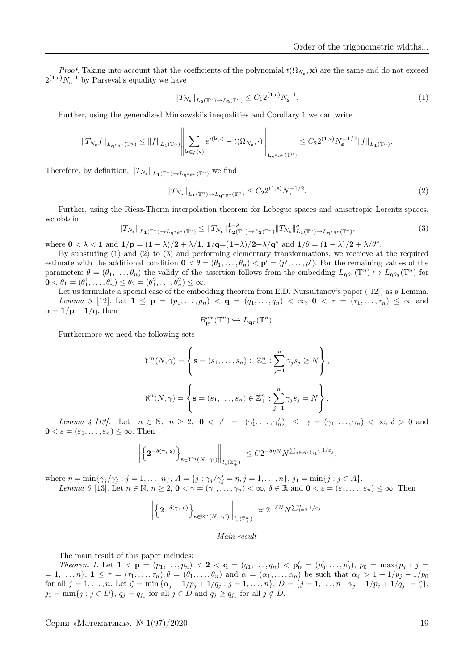*Proof.* Taking into account that the coefficients of the polynomial  $t(\Omega_{N_s}, \mathbf{x})$  are the same and do not exceed  $2^{(1,s)}N_s^{-1}$  by Parseval's equality we have

$$
||T_{N_{\mathbf{s}}}||_{L_2(\mathbb{T}^n)\to L_2(\mathbb{T}^n)} \leq C_1 2^{(1,\mathbf{s})} N_{\mathbf{s}}^{-1}.
$$
 (1)

Further, using the generalized Minkowski's inequalities and Corollary 1 we can write

$$
\|T_{N_{{\bf s}}}f\|_{L_{{\bf q}^*\theta^*}(\mathbb{T}^n)}\leq \|f\|_{L_1(\mathbb{T}^n)}\left\|\sum_{{\bf k}\in \rho({\bf s})}e^{i({\bf k},\cdot)}-t(\Omega_{N_{{\bf s}}},\cdot)\right\|_{L_{{\bf q}^*\theta^*}(\mathbb{T}^n)}\leq C_22^{(1,{\bf s})}N_{{\bf s}}^{-1/2}\|f\|_{L_1(\mathbb{T}^n)}.
$$

Therefore, by definition,  $||T_{N_{s}}||_{L_{1}(\mathbb{T}^{n})\rightarrow L_{\mathbf{q}^{*}\theta^{*}}(\mathbb{T}^{n})}$  we find

$$
||T_{N_{\mathbf{s}}}||_{L_1(\mathbb{T}^n)\to L_{\mathbf{q}^*\theta^*}(\mathbb{T}^n)} \le C_2 2^{(1,\mathbf{s})} N_{\mathbf{s}}^{-1/2}.
$$
 (2)

Further, using the Riesz-Thorin interpolation theorem for Lebegue spaces and anisotropic Lorentz spaces, we obtain

$$
||T_{N_{s}}||_{L_{1}(\mathbb{T}^{n})\to L_{\mathbf{q}^{*}\theta^{*}}(\mathbb{T}^{n})} \leq ||T_{N_{s}}||_{L_{2}(\mathbb{T}^{n})\to L_{2}(\mathbb{T}^{n})}^{1-\lambda} ||T_{N_{s}}||_{L_{1}(\mathbb{T}^{n})\to L_{\mathbf{q}^{*}\theta^{*}}(\mathbb{T}^{n})},
$$
\n(3)

where  $0 < \lambda < 1$  and  $1/p = (1 - \lambda)/2 + \lambda/1$ ,  $1/q = (1 - \lambda)/2 + \lambda/q^*$  and  $1/\theta = (1 - \lambda)/2 + \lambda/\theta^*$ .

By substuting (1) and (2) to (3) and performing elementary transformations, we reccieve at the required estimate with the additional condition  $\mathbf{0} < \theta = (\theta_1, \dots, \theta_n) < \mathbf{p}' = (p', \dots, p')$ . For the remaining values of the parameters  $\theta = (\theta_1, \dots, \theta_n)$  the validy of the assertion follows from the embedding  $L_{\mathbf{q}\theta_1}(\mathbb{T}^n) \hookrightarrow L_{\mathbf{q}\theta_2}(\mathbb{T}^n)$  for  $0 < \theta_1 = (\theta_1^1, \ldots, \theta_n^1) \le \theta_2 = (\theta_1^2, \ldots, \theta_n^2) \le \infty.$ 

Let us formulate a special case of the embedding theorem from E.D. Nursultanov's paper ([12]) as a Lemma. Lemma 3 [12]. Let  $1 \leq \mathbf{p} = (p_1, \ldots, p_n) < \mathbf{q} = (q_1, \ldots, q_n) < \infty$ ,  $0 < \tau = (\tau_1, \ldots, \tau_n) \leq \infty$  and  $\alpha = 1/\mathbf{p} - 1/\mathbf{q}$ , then

$$
B_{\mathbf{p}}^{\alpha \tau}(\mathbb{T}^n) \hookrightarrow L_{\mathbf{q} \tau}(\mathbb{T}^n).
$$

Furthermore we need the following sets

$$
Y^{n}(N,\gamma) = \left\{ \mathbf{s} = (s_{1},...,s_{n}) \in \mathbb{Z}_{+}^{n} : \sum_{j=1}^{n} \gamma_{j} s_{j} \geq N \right\},
$$

$$
\aleph^{n}(N,\gamma) = \left\{ \mathbf{s} = (s_{1},...,s_{n}) \in \mathbb{Z}_{+}^{n} : \sum_{j=1}^{n} \gamma_{j} s_{j} = N \right\}.
$$

Lemma 4 [13]. Let  $n \in \mathbb{N}$ ,  $n \geq 2$ ,  $0 < \gamma' = (\gamma'_1, \ldots, \gamma'_n) \leq \gamma = (\gamma_1, \ldots, \gamma_n) < \infty$ ,  $\delta > 0$  and  $0 < \varepsilon = (\varepsilon_1, \ldots, \varepsilon_n) \leq \infty$ . Then

$$
\left\| \left\{ 2^{-\delta(\gamma,\ s)} \right\}_{s \in Y^n(N,\ \gamma')} \right\|_{l_\varepsilon(\mathbb{Z}_+^n)} \leq C 2^{-\delta \eta N} N^{\sum_{j \in A \setminus \{j_1\}} 1/\varepsilon_j},
$$

where  $\eta = \min\{\gamma_j/\gamma'_j : j = 1, ..., n\}, A = \{j : \gamma_j/\gamma'_j = \eta, j = 1, ..., n\}, j_1 = \min\{j : j \in A\}.$ Lemma 5 [13]. Let  $n \in \mathbb{N}$ ,  $n \ge 2$ ,  $0 < \gamma = (\gamma_1, \ldots, \gamma_n) < \infty$ ,  $\delta \in \mathbb{R}$  and  $0 < \varepsilon = (\varepsilon_1, \ldots, \varepsilon_n) \le \infty$ . Then

$$
\left\| \left\{ 2^{-\delta(\gamma,\; \mathbf{s})} \right\}_{\mathbf{s} \in \aleph^n(N,\; \gamma')} \right\|_{l_{\varepsilon}(\mathbb{Z}_+^n)} \asymp 2^{-\delta N} N^{\sum_{j=2}^n 1/\varepsilon_j}.
$$

#### Main result

The main result of this paper includes:

Theorem 1. Let  $1 < p = (p_1, \ldots, p_n) < 2 < q = (q_1, \ldots, q_n) < p'_0 = (p'_0, \ldots, p'_0), p_0 = \max\{p_j : j = q_j\}$  $= 1, \ldots, n$ ,  $1 \leq \tau = (\tau_1, \ldots, \tau_n), \theta = (\theta_1, \ldots, \theta_n)$  and  $\alpha = (\alpha_1, \ldots, \alpha_n)$  be such that  $\alpha_j > 1 + 1/p_j - 1/p_0$ for all  $j = 1, ..., n$ . Let  $\zeta = \min{\{\alpha_j - 1/p_j + 1/q_j : j = 1, ..., n\}}$ ,  $D = \{j = 1, ..., n : \alpha_j - 1/p_j + 1/q_j = \zeta\}$ ,  $j_1 = \min\{j : j \in D\}, q_j = q_{j_1} \text{ for all } j \in D \text{ and } q_j \ge q_{j_1} \text{ for all } j \notin D.$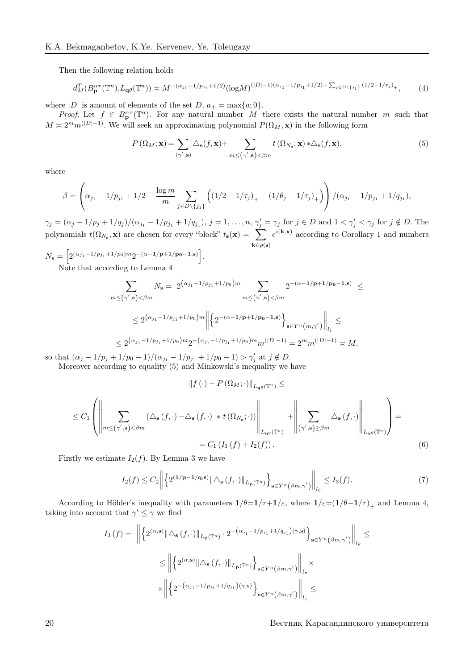Then the following relation holds

$$
d_M^T(B_{\mathbf{p}}^{\alpha\tau}(\mathbb{T}^n), L_{\mathbf{q}\theta}(\mathbb{T}^n)) \asymp M^{-(\alpha_{j_1}-1/p_{j_1}+1/2)}(\log M)^{(|D|-1)(\alpha_{j_1}-1/p_{j_1}+1/2)+\sum_{j\in D\setminus\{j_1\}}(1/2-1/\tau_j)}.
$$
 (4)

where  $|D|$  is amount of elements of the set  $D, a_{+} = \max\{a; 0\}.$ 

*Proof.* Let  $f \in B_{\mathbf{p}}^{\alpha \tau}(\mathbb{T}^n)$ . For any natural number M there exists the natural number m such that  $M \approx 2^m m^{(|D|-1)}$ . We will seek an approximating polynomial  $P(\Omega_M, \mathbf{x})$  in the following form

$$
P\left(\Omega_M; \mathbf{x}\right) = \sum_{\left(\gamma', \mathbf{s}\right)} \triangle_{\mathbf{s}}(f, \mathbf{x}) + \sum_{m \leq \left(\gamma', \mathbf{s}\right) < \beta m} t\left(\Omega_{N_\mathbf{s}}; \mathbf{x}\right) * \triangle_{\mathbf{s}}(f, \mathbf{x}),\tag{5}
$$

where

$$
\beta = \left(\alpha_{j_1} - 1/p_{j_1} + 1/2 - \frac{\log m}{m} \sum_{j \in D \setminus \{j_1\}} \left( (1/2 - 1/\tau_j)_+ - (1/\theta_j - 1/\tau_j)_+ \right) \right) / (\alpha_{j_1} - 1/p_{j_1} + 1/q_{j_1}),
$$

 $\gamma_j = (\alpha_j - 1/p_j + 1/q_j)/(\alpha_{j_1} - 1/p_{j_1} + 1/q_{j_1}), j = 1, \ldots, n, \gamma'_j = \gamma_j \text{ for } j \in D \text{ and } 1 < \gamma'_j < \gamma_j \text{ for } j \notin D.$  The polynomials  $t(\Omega_{N_s}, \mathbf{x})$  are chosen for every "block"  $t_s(\mathbf{x}) = \sum_{\Omega}$  $\mathbf{k} \in \rho(\mathbf{s})$  $e^{i(\mathbf{k},\mathbf{x})}$  according to Corollary 1 and numbers

.

$$
N_{\mathbf{s}} = \left[ 2^{(\alpha_{j_1} - 1/p_{j_1} + 1/p_0)m} 2^{-(\alpha - 1/\mathbf{p} + 1/p_0 - 1, \mathbf{s})} \right]
$$
  
Note that according to Lemma 4

Note that according to Lemma 4

$$
\sum_{m \le (\gamma', \mathbf{s}) < \beta m} N_{\mathbf{s}} = 2^{(\alpha_{j_1} - 1/p_{j_1} + 1/p_0)m} \sum_{m \le (\gamma', \mathbf{s}) < \beta m} 2^{-(\alpha - 1/\mathbf{p} + 1/p_0 - 1, \mathbf{s})} \le
$$
\n
$$
\le 2^{(\alpha_{j_1} - 1/p_{j_1} + 1/p_0)m} \left\| \left\{ 2^{-(\alpha - 1/\mathbf{p} + 1/p_0 - 1, \mathbf{s})} \right\}_{\mathbf{s} \in Y^n(m, \gamma')} \right\|_{l_1} \le
$$
\n
$$
\le 2^{(\alpha_{j_1} - 1/p_{j_1} + 1/p_0)m} 2^{-(\alpha_{j_1} - 1/p_{j_1} + 1/p_0)m} m^{(|D|-1)} = 2^m m^{(|D|-1)} \asymp M,
$$

so that  $(\alpha_j - 1/p_j + 1/p_0 - 1)/(\alpha_{j_1} - 1/p_{j_1} + 1/p_0 - 1) > \gamma'_j$  at  $j \notin D$ .

Moreover according to equality (5) and Minkowski's inequality we have

$$
\left\Vert f\left(\cdot\right)-P\left(\Omega_{M};\cdot\right)\right\Vert _{L_{\mathbf{q}\theta}\left(\mathbb{T}^{n}\right)}\leq
$$

$$
\leq C_1 \left( \left\| \sum_{m \leq (\gamma', \mathbf{s}) < \beta m} (\Delta_{\mathbf{s}}(f, \cdot) - \Delta_{\mathbf{s}}(f, \cdot) * t(\Omega_{N_{\mathbf{s}}}; \cdot)) \right\|_{L_{\mathbf{q}\theta}(\mathbb{T}^n)} + \left\| \sum_{(\gamma', \mathbf{s}) \geq \beta m} \Delta_{\mathbf{s}}(f, \cdot) \right\|_{L_{\mathbf{q}\theta}(\mathbb{T}^n)} \right) =
$$
  
=  $C_1 (I_1(f) + I_2(f)).$  (6)

Firstly we estimate  $I_2(f)$ . By Lemma 3 we have

$$
I_2(f) \le C_2 \left\| \left\{ 2^{(1/\mathbf{p}-1/\mathbf{q},\mathbf{s})} \|\Delta_{\mathbf{s}}\left(f,\cdot\right)\|_{L_{\mathbf{p}}\left(\mathbb{T}^n\right)} \right\}_{\mathbf{s}\in Y^n(\beta m,\gamma')} \right\|_{l_{\theta}} \le I_3(f). \tag{7}
$$

According to Hölder's inequality with parameters  $1/\theta=1/\tau+1/\varepsilon$ , where  $1/\varepsilon=(1/\theta-1/\tau)_{+}$  and Lemma 4, taking into account that  $\gamma' \leq \gamma$  we find

$$
I_3(f) = \left\| \left\{ 2^{(\alpha,\mathbf{s})} \|\Delta_{\mathbf{s}}(f,\cdot)\|_{L_{\mathbf{p}}(\mathbb{T}^n)} \cdot 2^{-\left(\alpha_{j_1}-1/p_{j_1}+1/q_{j_1}\right)(\gamma,\mathbf{s})} \right\}_{\mathbf{s}\in Y^n(\beta m,\gamma')} \right\|_{l_{\theta}} \le
$$
  

$$
\leq \left\| \left\{ 2^{(\alpha,\mathbf{s})} \|\Delta_{\mathbf{s}}(f,\cdot)\|_{L_{\mathbf{p}}(\mathbb{T}^n)} \right\}_{\mathbf{s}\in Y^n(\beta m,\gamma')} \right\|_{l_{\tau}} \times
$$
  

$$
\times \left\| \left\{ 2^{-(\alpha_{j_1}-1/p_{j_1}+1/q_{j_1})(\gamma,\mathbf{s})} \right\}_{\mathbf{s}\in Y^n(\beta m,\gamma')} \right\|_{l_{\varepsilon}} \leq
$$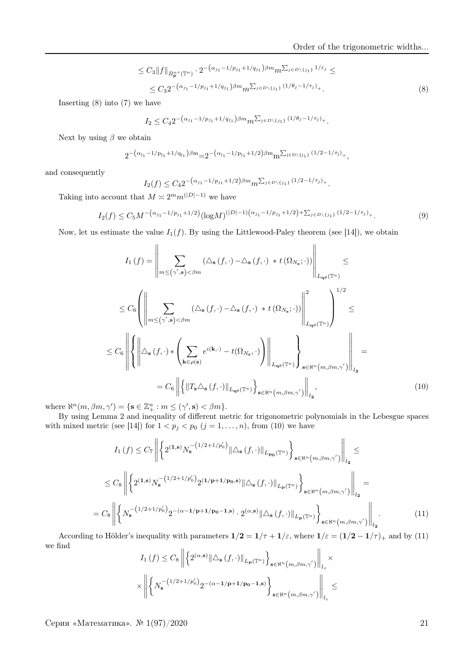$$
\leq C_3 \|f\|_{B_{\mathbf{p}}^{\alpha\tau}(\mathbb{T}^n)} \cdot 2^{-\left(\alpha_{j_1}-1/p_{j_1}+1/q_{j_1}\right)\beta m} m^{\sum_{j\in D\backslash\{j_1\}}1/\varepsilon_j} \leq
$$
  

$$
\leq C_3 2^{-\left(\alpha_{j_1}-1/p_{j_1}+1/q_{j_1}\right)\beta m} m^{\sum_{j\in D\backslash\{j_1\}}\left(1/\theta_j-1/\tau_j\right)}.
$$

$$
(8)
$$

Inserting (8) into (7) we have

$$
I_2 \leq C_4 2^{-\left(\alpha_{j_1} - 1/p_{j_1} + 1/q_{j_1}\right)\beta m} m^{\sum_{j \in D \setminus \{j_1\}} (1/\theta_j - 1/\tau_j)}.
$$

Next by using  $\beta$  we obtain

$$
2^{-(\alpha_{j_1}-1/p_{j_1}+1/q_{j_1})\beta m}=2^{-(\alpha_{j_1}-1/p_{j_1}+1/2)\beta m}m^{\sum_{j\in D\setminus\{j_1\}}(1/2-1/\tau_j)}\cdot,
$$

and consequently

$$
I_2(f) \leq C_4 2^{-\left(\alpha_{j_1} - 1/p_{j_1} + 1/2\right)\beta m} m^{\sum_{j \in D \setminus \{j_1\}} (1/2 - 1/\tau_j)}.
$$

Taking into account that  $M \approx 2^m m^{(|D|-1)}$  we have

$$
I_2(f) \le C_5 M^{-\left(\alpha_{j_1} - 1/p_{j_1} + 1/2\right)} (\log M)^{(|D|-1)\left(\alpha_{j_1} - 1/p_{j_1} + 1/2\right)} + \sum_{j \in D \setminus \{j_1\}} (1/2 - 1/\tau_j)_+.
$$
\n(9)

Now, let us estimate the value  $I_1(f)$ . By using the Littlewood-Paley theorem (see [14]), we obtain

$$
I_{1}(f) = \left\| \sum_{m \leq (\gamma',\mathbf{s}) < \beta m} (\Delta_{\mathbf{s}}(f,\cdot) - \Delta_{\mathbf{s}}(f,\cdot) * t(\Omega_{N_{\mathbf{s}}};\cdot)) \right\|_{L_{\mathbf{q}\theta}(\mathbb{T}^{n})} \leq
$$
  

$$
\leq C_{6} \left( \left\| \sum_{m \leq (\gamma',\mathbf{s}) < \beta m} (\Delta_{\mathbf{s}}(f,\cdot) - \Delta_{\mathbf{s}}(f,\cdot) * t(\Omega_{N_{\mathbf{s}}};\cdot)) \right\|_{L_{\mathbf{q}\theta}(\mathbb{T}^{n})}^{2} \right)^{1/2} \leq
$$
  

$$
\leq C_{6} \left\| \left\{ \left\| \Delta_{\mathbf{s}}(f,\cdot) * \left( \sum_{\mathbf{k} \in \rho(\mathbf{s})} e^{i(\mathbf{k},\cdot)} - t(\Omega_{N_{\mathbf{s}}},\cdot) \right) \right\|_{L_{\mathbf{q}\theta}(\mathbb{T}^{n})} \right\}_{\mathbf{s} \in \mathbb{N}^{n}(m,\beta m,\gamma')} \right\|_{l_{2}} =
$$
  

$$
= C_{6} \left\| \left\{ \left\| T_{\mathbf{s}} \Delta_{\mathbf{s}}(f,\cdot) \right\|_{L_{\mathbf{q}\theta}(\mathbb{T}^{n})} \right\}_{\mathbf{s} \in \mathbb{N}^{n}(m,\beta m,\gamma')} \right\|_{l_{2}}, \tag{10}
$$

where  $\aleph^n(m, \beta m, \gamma') = \{ \mathbf{s} \in \mathbb{Z}_+^n : m \leq (\gamma', \mathbf{s}) < \beta m \}.$ 

By using Lemma 2 and inequality of different metric for trigonometric polynomials in the Lebesgue spaces with mixed metric (see [14]) for  $1 < p_j < p_0$  ( $j = 1, ..., n$ ), from (10) we have

$$
I_{1}(f) \leq C_{7} \left\| \left\{ 2^{(1,s)} N_{\mathbf{s}}^{-\left(1/2+1/p_{0}^{\prime}\right)} \|\Delta_{\mathbf{s}}\left(f,\cdot\right)\|_{L_{\mathbf{p_{0}}}(\mathbb{T}^{n})} \right\}_{\mathbf{s}\in\mathbb{N}^{n}\left(m,\beta m,\gamma^{\prime}\right)} \right\|_{l_{2}} \leq
$$
  

$$
\leq C_{8} \left\| \left\{ 2^{(1,s)} N_{\mathbf{s}}^{-\left(1/2+1/p_{0}^{\prime}\right)} 2^{(1/\mathbf{p}+1/\mathbf{p_{0}},s)} \|\Delta_{\mathbf{s}}\left(f,\cdot\right)\|_{L_{\mathbf{p}}(\mathbb{T}^{n})} \right\}_{\mathbf{s}\in\mathbb{N}^{n}\left(m,\beta m,\gamma^{\prime}\right)} \right\|_{l_{2}} =
$$
  

$$
C_{8} \left\| \left\{ N_{\mathbf{s}}^{-\left(1/2+1/p_{0}^{\prime}\right)} 2^{-(\alpha-1/\mathbf{p}+1/\mathbf{p_{0}}-1,s)} \cdot 2^{(\alpha,s)} \|\Delta_{\mathbf{s}}\left(f,\cdot\right)\|_{L_{\mathbf{p}}(\mathbb{T}^{n})} \right\}_{\mathbf{s}\in\mathbb{N}^{n}\left(m,\beta m,\gamma^{\prime}\right)} \right\|_{l_{2}}.
$$
  
(11)

According to Hölder's inequality with parameters  $1/2 = 1/\tau + 1/\varepsilon$ , where  $1/\varepsilon = (1/2 - 1/\tau)_+$  and by (11) we find

$$
I_{1}(f) \leq C_{8} \left\| \left\{ 2^{(\alpha,\mathbf{s})} \|\Delta_{\mathbf{s}}(f,\cdot)\|_{L_{\mathbf{P}}(\mathbb{T}^{n})} \right\}_{\mathbf{s}\in\aleph^{n}(m,\beta m,\gamma')} \right\|_{l_{\tau}} \times \\ \times \left\| \left\{ N_{\mathbf{s}}^{-\left(1/2+1/p_{0}^{\prime}\right)} 2^{-\left(\alpha-1/\mathbf{p}+1/p_{0}-1,\mathbf{s}\right)} \right\}_{\mathbf{s}\in\aleph^{n}(m,\beta m,\gamma')} \right\|_{l_{\varepsilon}} \leq
$$

Серия «Математика». № 1(97)/2020 21

 $=$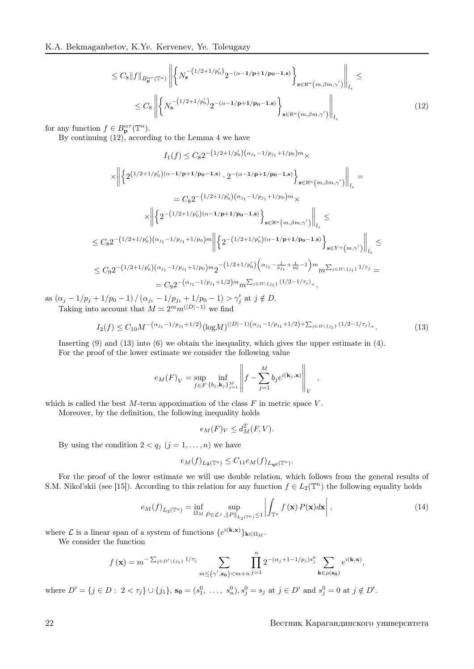$$
\leq C_8 \|f\|_{B_{\mathbf{p}}^{\alpha\tau}(\mathbb{T}^n)} \left\| \left\{ N_s^{-(1/2+1/p'_0)} 2^{-(\alpha-1/\mathbf{p}+1/\mathbf{p_0}-1,\mathbf{s})} \right\}_{\mathbf{s}\in\aleph^n(m,\beta m,\gamma')} \right\|_{l_\varepsilon} \leq
$$
  

$$
\leq C_8 \left\| \left\{ N_s^{-(1/2+1/p'_0)} 2^{-(\alpha-1/\mathbf{p}+1/\mathbf{p_0}-1,\mathbf{s})} \right\}_{\mathbf{s}\in\aleph^n(m,\beta m,\gamma')} \right\|_{l_\varepsilon}
$$
(12)

for any function  $f \in B_{\mathbf{p}}^{\alpha \tau}(\mathbb{T}^n)$ .

By continuing (12), according to the Lemma 4 we have

$$
I_{1}(f) \leq C_{8} 2^{-\left(1/2+1/p'_{0}\right)\left(\alpha_{j_{1}}-1/p_{j_{1}}+1/p_{0}\right)m} \times
$$
\n
$$
\times \left\| \left\{ 2^{\left(1/2+1/p'_{0}\right)\left(\alpha-1/\mathbf{p}+1/\mathbf{p_{0}}-1,\mathbf{s}\right)} \cdot 2^{-\left(\alpha-1/\mathbf{p}+1/\mathbf{p_{0}}-1,\mathbf{s}\right)} \right\}_{\mathbf{s} \in \mathbb{N}^{n}\left(m,\beta m,\gamma'\right)} \right\|_{l_{\varepsilon}} =
$$
\n
$$
= C_{8} 2^{-\left(1/2+1/p'_{0}\right)\left(\alpha_{j_{1}}-1/p_{j_{1}}+1/p_{0}\right)m} \times
$$
\n
$$
\times \left\| \left\{ 2^{-\left(1/2+1/p'_{0}\right)\left(\alpha-1/\mathbf{p}+1/\mathbf{p_{0}}-1,\mathbf{s}\right)} \right\}_{\mathbf{s} \in \mathbb{N}^{n}\left(m,\beta m,\gamma'\right)} \right\|_{l_{\varepsilon}} \leq
$$
\n
$$
\leq C_{8} 2^{-\left(1/2+1/p'_{0}\right)\left(\alpha_{j_{1}}-1/p_{j_{1}}+1/p_{0}\right)m} \left\| \left\{ 2^{-\left(1/2+1/p'_{0}\right)\left(\alpha-1/\mathbf{p}+1/\mathbf{p_{0}}-1,\mathbf{s}\right)} \right\}_{\mathbf{s} \in Y^{n}\left(m,\gamma'\right)} \right\|_{l_{\varepsilon}} \leq
$$
\n
$$
\leq C_{9} 2^{-\left(1/2+1/p'_{0}\right)\left(\alpha_{j_{1}}-1/p_{j_{1}}+1/p_{0}\right)m} 2^{-\left(1/2+1/p'_{0}\right)\left(\alpha_{j_{1}}-\frac{1}{p_{j_{1}}}+\frac{1}{p_{0}}-1\right)m} 2^{-\left(1/2+p'_{0}\right)\left(j_{1}} 1/\varepsilon_{j}\right)} =
$$
\n
$$
= C_{9} 2^{-\left(\alpha_{j_{1}}-1/p_{j_{1}}+1/2\right)m} 2^{-\left(1/2+1/p'_{0}\right)\left(\frac{1}{2}-1/p'_{j}\right)} ,
$$

as  $(\alpha_j - 1/p_j + 1/p_0 - 1) / (\alpha_{j_1} - 1/p_{j_1} + 1/p_0 - 1) > \gamma'_j$  at  $j \notin D$ . Taking into account that  $M \approx 2^m m^{(|D|-1)}$  we find

$$
I_2(f) \le C_{10} M^{-\left(\alpha_{j_1} - 1/p_{j_1} + 1/2\right)} (\log M)^{(|D|-1)\left(\alpha_{j_1} - 1/p_{j_1} + 1/2\right) + \sum_{j \in D \setminus \{j_1\}} (1/2 - 1/\tau_j)_+}.
$$
\n(13)

Inserting  $(9)$  and  $(13)$  into  $(6)$  we obtain the inequality, which gives the upper estimate in  $(4)$ . For the proof of the lower estimate we consider the following value

$$
e_M(F)_V = \sup_{f \in F} \inf_{\{b_j, \mathbf{k}_j\}_{j=1}^M} \left\| f - \sum_{j=1}^M b_j e^{i(\mathbf{k}_j, \mathbf{x})} \right\|_V,
$$

which is called the best  $M$ -term appoximation of the class  $F$  in metric space  $V$ .

Moreover, by the definition, the following inequality holds

$$
e_M(F)_V \le d_M^T(F,V).
$$

By using the condition  $2 < q_j$   $(j = 1, ..., n)$  we have

$$
e_M(f)_{L_2(\mathbb{T}^n)} \leq C_{11}e_M(f)_{L_{\mathbf{q}\theta}(\mathbb{T}^n)}.
$$

For the proof of the lower estimate we will use double relation, which follows from the general results of S.M. Nikol'skii (see [15]). According to this relation for any function  $f \in L_2(\mathbb{T}^n)$  the following equality holds

$$
e_M(f)_{L_2(\mathbb{T}^n)} = \inf_{\Omega_M} \sup_{P \in \mathcal{L}^\perp, \|P\|_{L_2(\mathbb{T}^n)} \le 1} \left| \int_{\mathbb{T}^n} f(\mathbf{x}) P(\mathbf{x}) d\mathbf{x} \right|, \tag{14}
$$

where  $\mathcal L$  is a linear span of a system of functions  $\{e^{i(\mathbf{k}, \mathbf{x})}\}_{\mathbf{k}\in\Omega_M}$ .

We consider the function

$$
f(\mathbf{x}) = m^{-\sum_{j \in D' \setminus \{j_1\}} 1/\tau_j} \sum_{m \le (\gamma', \mathbf{s_0}) < m+n} \prod_{j=1}^n 2^{-(\alpha_j + 1 - 1/p_j)s_j^0} \sum_{\mathbf{k} \in \rho(\mathbf{s_0})} e^{i(\mathbf{k}, \mathbf{x})},
$$

where  $D' = \{j \in D : 2 < \tau_j\} \cup \{j_1\}$ ,  $\mathbf{s_0} = (s_1^0, \ldots, s_n^0), s_j^0 = s_j \text{ at } j \in D' \text{ and } s_j^0 = 0 \text{ at } j \notin D'.$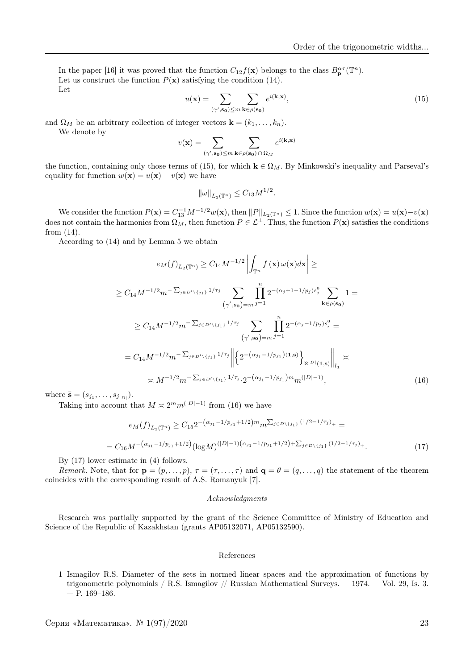In the paper [16] it was proved that the function  $C_{12} f(\mathbf{x})$  belongs to the class  $B_{\mathbf{p}}^{\alpha \tau}(\mathbb{T}^n)$ . Let us construct the function  $P(x)$  satisfying the condition (14). Let

$$
u(\mathbf{x}) = \sum_{(\gamma', \mathbf{s_0}) \le m} \sum_{\mathbf{k} \in \rho(\mathbf{s_0})} e^{i(\mathbf{k}, \mathbf{x})},\tag{15}
$$

and  $\Omega_M$  be an arbitrary collection of integer vectors  $\mathbf{k} = (k_1, \ldots, k_n)$ .

We denote by

$$
v(\mathbf{x}) = \sum_{(\gamma', \mathbf{s_0}) \le m} \sum_{\mathbf{k} \in \rho(\mathbf{s_0})} e^{i(\mathbf{k}, \mathbf{x})}
$$

the function, containing only those terms of (15), for which  $\mathbf{k} \in \Omega_M$ . By Minkowski's inequality and Parseval's equality for function  $w(\mathbf{x}) = u(\mathbf{x}) - v(\mathbf{x})$  we have

$$
\|\omega\|_{L_2(\mathbb{T}^n)} \le C_{13} M^{1/2}.
$$

We consider the function  $P(\mathbf{x}) = C_{13}^{-1} M^{-1/2} w(\mathbf{x})$ , then  $||P||_{L_2(\mathbb{T}^n)} \leq 1$ . Since the function  $w(\mathbf{x}) = u(\mathbf{x}) - v(\mathbf{x})$ does not contain the harmonics from  $\Omega_M$ , then function  $P \in \mathcal{L}^\perp$ . Thus, the function  $P(\mathbf{x})$  satisfies the conditions from (14).

According to (14) and by Lemma 5 we obtain

$$
e_M(f)_{L_2(\mathbb{T}^n)} \geq C_{14}M^{-1/2} \left| \int_{\mathbb{T}^n} f(\mathbf{x}) \, \omega(\mathbf{x}) d\mathbf{x} \right| \geq
$$
  
\n
$$
\geq C_{14}M^{-1/2}m^{-\sum_{j\in D'\backslash\{j_1\}}1/\tau_j} \sum_{(\gamma',\mathbf{s_0})=m} \prod_{j=1}^n 2^{-(\alpha_j+1-1/p_j)s_j^0} \sum_{\mathbf{k}\in \rho(\mathbf{s_0})} 1 =
$$
  
\n
$$
\geq C_{14}M^{-1/2}m^{-\sum_{j\in D'\backslash\{j_1\}}1/\tau_j} \sum_{(\gamma',\mathbf{s_0})=m} \prod_{j=1}^n 2^{-(\alpha_j-1/p_j)s_j^0} =
$$
  
\n
$$
= C_{14}M^{-1/2}m^{-\sum_{j\in D'\backslash\{j_1\}}1/\tau_j} \left\| \left\{ 2^{-(\alpha_{j_1}-1/p_{j_1})(1,\mathbf{s})} \right\}_{\mathbb{N}^{|D|}(1,\mathbf{s})} \right\|_{l_1} \asymp
$$
  
\n
$$
\asymp M^{-1/2}m^{-\sum_{j\in D'\backslash\{j_1\}}1/\tau_j} \cdot 2^{-(\alpha_{j_1}-1/p_{j_1})m}m^{(|D|-1)}, \tag{16}
$$

where  $\bar{\mathbf{s}} = (s_{j_1}, \dots, s_{j_{|D|}}).$ 

Taking into account that  $M \approx 2^m m^{(|D|-1)}$  from (16) we have

$$
e_M(f)_{L_2(\mathbb{T}^n)} \ge C_{15} 2^{-\left(\alpha_{j_1} - 1/p_{j_1} + 1/2\right)m} m^{\sum_{j \in D \setminus \{j_1\}} (1/2 - 1/\tau_j)} +
$$
  
= 
$$
C_{16} M^{-\left(\alpha_{j_1} - 1/p_{j_1} + 1/2\right)} (\log M)^{(|D|-1)} (\alpha_{j_1} - 1/p_{j_1} + 1/2) + \sum_{j \in D \setminus \{j_1\}} (1/2 - 1/\tau_j) +
$$
 (17)

By (17) lower estimate in (4) follows.

Remark. Note, that for  $\mathbf{p} = (p, \ldots, p)$ ,  $\tau = (\tau, \ldots, \tau)$  and  $\mathbf{q} = \theta = (q, \ldots, q)$  the statement of the theorem coincides with the corresponding result of A.S. Romanyuk [7].

#### Acknowledgments

Research was partially supported by the grant of the Science Committee of Ministry of Education and Science of the Republic of Kazakhstan (grants AP05132071, AP05132590).

#### References

1 Ismagilov R.S. Diameter of the sets in normed linear spaces and the approximation of functions by trigonometric polynomials / R.S. Ismagilov // Russian Mathematical Surveys. — 1974. — Vol. 29, Is. 3.  $-$  P. 169–186.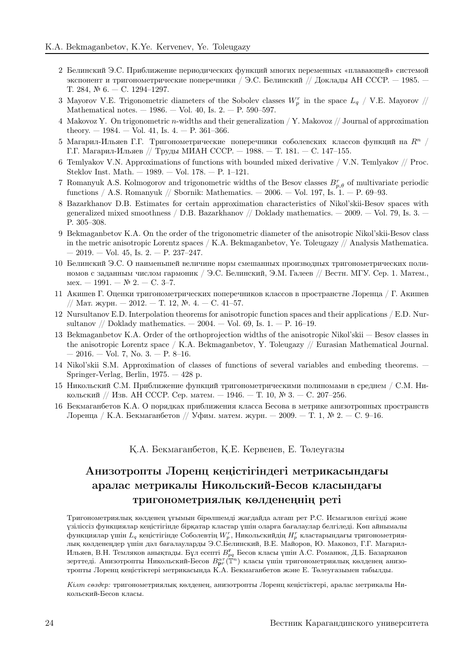- 2 Белинский Э.С. Приближение периодических функций многих переменных «плавающей» системой экспонент и тригонометрические поперечники / Э.С. Белинский // Доклады АН СССР. — 1985. — Т. 284, № 6. — С. 1294–1297.
- 3 Mayorov V.E. Trigonometric diameters of the Sobolev classes  $W_p^r$  in the space  $L_q$  / V.E. Mayorov // Mathematical notes.  $-1986. -$  Vol. 40, Is. 2.  $-$  P. 590–597.
- 4 Makovoz Y. On trigonometric n-widths and their generalization / Y. Makovoz // Journal of approximation theory.  $-1984. -$  Vol. 41, Is. 4.  $-$  P. 361–366.
- 5 Магарил-Ильяев Г.Г. Тригонометрические поперечники соболевских классов функций на  $R^n$  / Г.Г. Магарил-Ильяев // Труды МИАН СССР. — 1988. — Т. 181. — С. 147–155.
- 6 Temlyakov V.N. Approximations of functions with bounded mixed derivative / V.N. Temlyakov // Proc. Steklov Inst. Math. — 1989. — Vol. 178. — P. 1–121.
- 7 Romanyuk A.S. Kolmogorov and trigonometric widths of the Besov classes  $B_{p,\theta}^r$  of multivariate periodic functions / A.S. Romanyuk // Sbornik: Mathematics.  $-2006. -$  Vol. 197, Is. 1.  $-$  P. 69–93.
- 8 Bazarkhanov D.B. Estimates for certain approximation characteristics of Nikol'skii-Besov spaces with generalized mixed smoothness / D.B. Bazarkhanov // Doklady mathematics.  $-$  2009.  $-$  Vol. 79, Is. 3.  $-$ P. 305–308.
- 9 Bekmaganbetov K.A. On the order of the trigonometric diameter of the anisotropic Nikol'skii-Besov class in the metric anisotropic Lorentz spaces / K.A. Bekmaganbetov, Yе. Toleugazy // Analysis Mathematica.  $-2019. - Vol. 45$ , Is.  $2. - P. 237-247.$
- 10 Белинский Э.С. О наименьшей величине норм смешанных производных тригонометрических полиномов с заданным числом гармоник / Э.С. Белинский, Э.М. Галеев // Вестн. МГУ. Сер. 1. Матем., мех. — 1991. — № 2. — С. 3–7.
- 11 Акишев Г. Оценки тригонометрических поперечников классов в пространстве Лоренца / Г. Акишев // Мат. журн. − 2012. − Т. 12, №. 4. − С. 41–57.
- 12 Nursultanov E.D. Interpolation theorems for anisotropic function spaces and their applications / E.D. Nursultanov // Doklady mathematics.  $-2004. -$  Vol. 69, Is. 1.  $-$  P. 16–19.
- 13 Bekmaganbetov K.A. Order of the orthoprojection widths of the anisotropic Nikol'skii Besov classes in the anisotropic Lorentz space / K.A. Bekmaganbetov, Y. Toleugazy // Eurasian Mathematical Journal.  $-2016. - Vol. 7, No. 3. - P. 8-16.$
- 14 Nikol'skii S.M. Approximation of classes of functions of several variables and embeding theorems. Springer-Verlag, Berlin, 1975. — 428 p.
- 15 Никольский С.М. Приближение функций тригонометрическими полиномами в среднем / С.М. Никольский // Изв. АН СССР. Сер. матем. — 1946. — Т. 10, № 3. — C. 207–256.
- 16 Бекмаганбетов К.А. О порядках приближения класса Бесова в метрике анизотропных пространств Лоренца / К.А. Бекмаганбетов // Уфим. матем. журн. — 2009. — Т. 1, № 2. — С. 9–16.

### Қ.А. Бекмағанбетов, Қ.Е. Кервенев, Е. Төлеуғазы

# Анизотропты Лоренц кеңiстiгiндегi метрикасындағы аралас метрикалы Никольский-Бесов класындағы тригонометриялық көлденеңнiң ретi

Тригонометриялық көлденең ұғымын бiрөлшемдi жағдайда алғаш рет Р.С. Исмагилов енгiздi және үзiлiссiз функциялар кеңiстiгiнде бiрқатар кластар үшiн оларға бағалаулар белгiледi. Көп айнымалы функциялар үшiн  $L_q$  кеңiстiгiнде Соболевтiң  $W_p^r$ , Никольскийдiң  $H_p^r$  кластарындағы тригонометриялық көлденеңдер үшiн дәл бағалауларды Э.С.Белинский, В.Е. Майоров, Ю. Маковоз, Г.Г. Магарил-Ильяев, В.Н. Темляков анықтады. Бұл есепті  $B^{\mathbf{r}}_{pq}$  Бесов класы үшін А.С. Романюк, Д.Б. Базарханов зерттедi. Анизотропты Никольский-Бесов  $B^{\alpha \tau}_{\mathbf{p}r}(\mathbb{T}^n)$  класы үшiн тригонометриялық көлденең анизотропты Лоренц кеңiстiктерi метрикасында К.А. Бекмаганбетов және Е. Төлеуғазымен табылды.

Кiлт сөздер: тригонометриялық көлденең, анизотропты Лоренц кеңiстiктерi, аралас метрикалы Никольский-Бесов класы.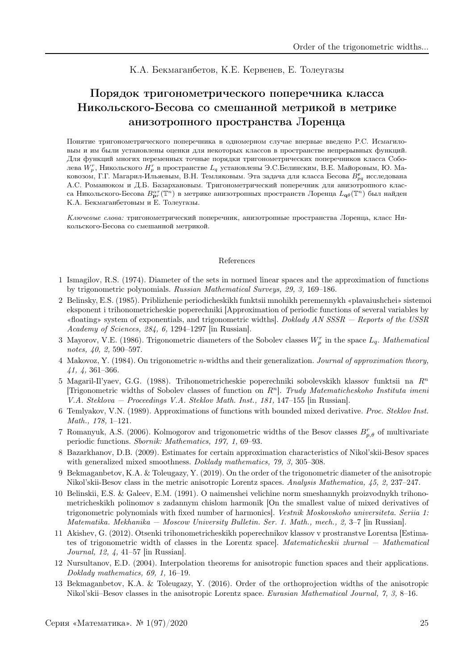### К.А. Бекмаганбетов, К.Е. Кервенев, Е. Толеугазы

# Порядок тригонометрического поперечника класса Никольского-Бесова со смешанной метрикой в метрике анизотропного пространства Лоренца

Понятие тригонометрического поперечника в одномерном случае впервые введено Р.С. Исмагиловым и им были установлены оценки для некоторых классов в пространстве непрерывных функций. Для функций многих переменных точные порядки тригонометрических поперечников класса Соболева  $W_p^r$ , Никольского  $H_p^r$  в пространстве  $L_q$  установлены Э.С.Белинским, В.Е. Майоровым, Ю. Маковозом, Г.Г. Магарил-Ильяевым, В.Н. Темляковым. Эта задача для класса Бесова  $B_{pq}^{\mathbf{r}}$  исследована А.С. Романюком и Д.Б. Базархановым. Тригонометрический поперечник для анизотропного класса Никольского-Бесова  $B^{\alpha\tau}_{\bf p r}(\mathbb{T}^n)$  в метрике анизотропных пространств Лоренца  $L_{\bf q\theta}(\mathbb{T}^n)$  был найден К.А. Бекмаганбетовым и Е. Толеугазы.

Ключевые слова: тригонометрический поперечник, анизотропные пространства Лоренца, класс Никольского-Бесова со смешанной метрикой.

#### References

- 1 Ismagilov, R.S. (1974). Diameter of the sets in normed linear spaces and the approximation of functions by trigonometric polynomials. Russian Mathematical Surveys, 29, 3, 169–186.
- 2 Belinsky, E.S. (1985). Priblizhenie periodicheskikh funktsii mnohikh peremennykh «plavaiushchei» sistemoi eksponent i trihonometricheskie poperechniki [Approximation of periodic functions of several variables by «floating» system of exponentials, and trigonometric widths]. Doklady AN SSSR — Reports of the USSR Academy of Sciences, 284, 6, 1294–1297 [in Russian].
- 3 Mayorov, V.E. (1986). Trigonometric diameters of the Sobolev classes  $W_p^r$  in the space  $L_q$ . Mathematical notes, 40, 2, 590–597.
- 4 Makovoz, Y. (1984). On trigonometric n-widths and their generalization. Journal of approximation theory, 41, 4, 361–366.
- 5 Magaril-Il'yaev, G.G. (1988). Trihonometricheskie poperechniki sobolevskikh klassov funktsii na  $R<sup>n</sup>$ [Trigonometric widths of Sobolev classes of function on  $R<sup>n</sup>$ ]. Trudy Matematicheskoho Instituta imeni V.A. Steklova — Proceedings V.A. Steklov Math. Inst., 181, 147–155 [in Russian].
- 6 Temlyakov, V.N. (1989). Approximations of functions with bounded mixed derivative. Proc. Steklov Inst. Math., 178, 1–121.
- 7 Romanyuk, A.S. (2006). Kolmogorov and trigonometric widths of the Besov classes  $B_{p,\theta}^r$  of multivariate periodic functions. Sbornik: Mathematics, 197, 1, 69–93.
- 8 Bazarkhanov, D.B. (2009). Estimates for certain approximation characteristics of Nikol'skii-Besov spaces with generalized mixed smoothness. Doklady mathematics, 79, 3, 305–308.
- 9 Bekmaganbetov, K.A. & Toleugazy, Y. (2019). On the order of the trigonometric diameter of the anisotropic Nikol'skii-Besov class in the metric anisotropic Lorentz spaces. Analysis Mathematica, 45, 2, 237–247.
- 10 Belinskii, E.S. & Galeev, E.M. (1991). O naimenshei velichine norm smeshannykh proizvodnykh trihonometricheskikh polinomov s zadannym chislom harmonik [On the smallest value of mixed derivatives of trigonometric polynomials with fixed number of harmonics]. Vestnik Moskovskoho universiteta. Seriia 1: Matematika. Mekhanika — Moscow University Bulletin. Ser. 1. Math., mech., 2, 3–7 [in Russian].
- 11 Akishev, G. (2012). Otsenki trihonometricheskikh poperechnikov klassov v prostranstve Lorentsa [Estimates of trigonometric width of classes in the Lorentz space]. Matematicheskii zhurnal — Mathematical Journal, 12, 4, 41–57 [in Russian].
- 12 Nursultanov, E.D. (2004). Interpolation theorems for anisotropic function spaces and their applications. Doklady mathematics, 69, 1, 16–19.
- 13 Bekmaganbetov, K.A. & Toleugazy, Y. (2016). Order of the orthoprojection widths of the anisotropic Nikol'skii–Besov classes in the anisotropic Lorentz space. Eurasian Mathematical Journal, 7, 3, 8–16.